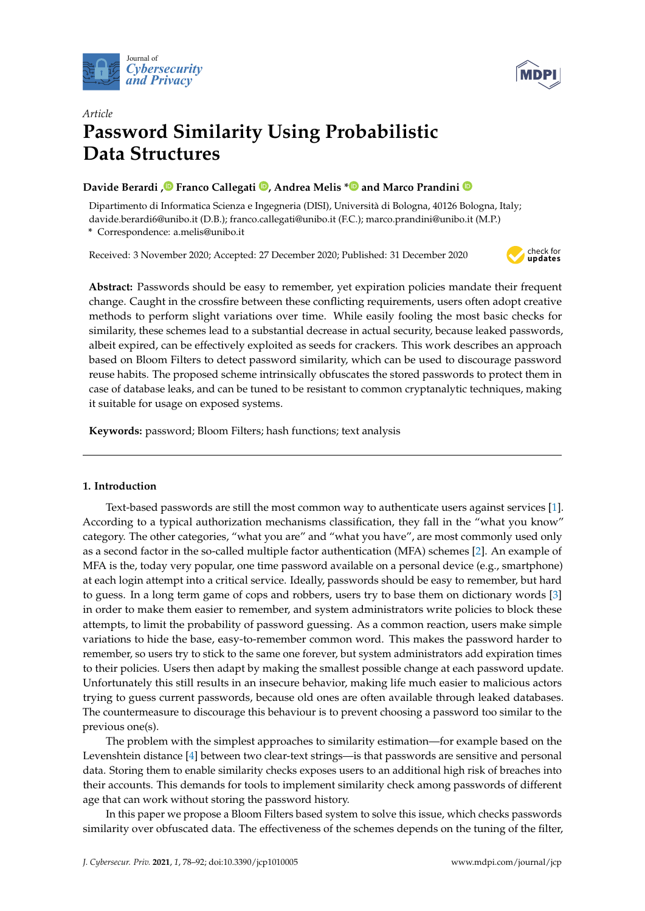



# *Article* **Password Similarity Using Probabilistic Data Structures**

## **Davide Berardi [,](https://orcid.org/0000-0002-2473-2439) Franco Callegati [,](https://orcid.org/0000-0002-6669-8072) Andrea Melis [\\*](https://orcid.org/0000-0002-0101-2551) and Marco Prandini**

Dipartimento di Informatica Scienza e Ingegneria (DISI), Università di Bologna, 40126 Bologna, Italy; davide.berardi6@unibo.it (D.B.); franco.callegati@unibo.it (F.C.); marco.prandini@unibo.it (M.P.) **\*** Correspondence: a.melis@unibo.it

Received: 3 November 2020; Accepted: 27 December 2020; Published: 31 December 2020



**Abstract:** Passwords should be easy to remember, yet expiration policies mandate their frequent change. Caught in the crossfire between these conflicting requirements, users often adopt creative methods to perform slight variations over time. While easily fooling the most basic checks for similarity, these schemes lead to a substantial decrease in actual security, because leaked passwords, albeit expired, can be effectively exploited as seeds for crackers. This work describes an approach based on Bloom Filters to detect password similarity, which can be used to discourage password reuse habits. The proposed scheme intrinsically obfuscates the stored passwords to protect them in case of database leaks, and can be tuned to be resistant to common cryptanalytic techniques, making it suitable for usage on exposed systems.

**Keywords:** password; Bloom Filters; hash functions; text analysis

## **1. Introduction**

Text-based passwords are still the most common way to authenticate users against services [\[1\]](#page-12-0). According to a typical authorization mechanisms classification, they fall in the "what you know" category. The other categories, "what you are" and "what you have", are most commonly used only as a second factor in the so-called multiple factor authentication (MFA) schemes [\[2\]](#page-12-1). An example of MFA is the, today very popular, one time password available on a personal device (e.g., smartphone) at each login attempt into a critical service. Ideally, passwords should be easy to remember, but hard to guess. In a long term game of cops and robbers, users try to base them on dictionary words [\[3\]](#page-12-2) in order to make them easier to remember, and system administrators write policies to block these attempts, to limit the probability of password guessing. As a common reaction, users make simple variations to hide the base, easy-to-remember common word. This makes the password harder to remember, so users try to stick to the same one forever, but system administrators add expiration times to their policies. Users then adapt by making the smallest possible change at each password update. Unfortunately this still results in an insecure behavior, making life much easier to malicious actors trying to guess current passwords, because old ones are often available through leaked databases. The countermeasure to discourage this behaviour is to prevent choosing a password too similar to the previous one(s).

The problem with the simplest approaches to similarity estimation—for example based on the Levenshtein distance [\[4\]](#page-12-3) between two clear-text strings—is that passwords are sensitive and personal data. Storing them to enable similarity checks exposes users to an additional high risk of breaches into their accounts. This demands for tools to implement similarity check among passwords of different age that can work without storing the password history.

In this paper we propose a Bloom Filters based system to solve this issue, which checks passwords similarity over obfuscated data. The effectiveness of the schemes depends on the tuning of the filter,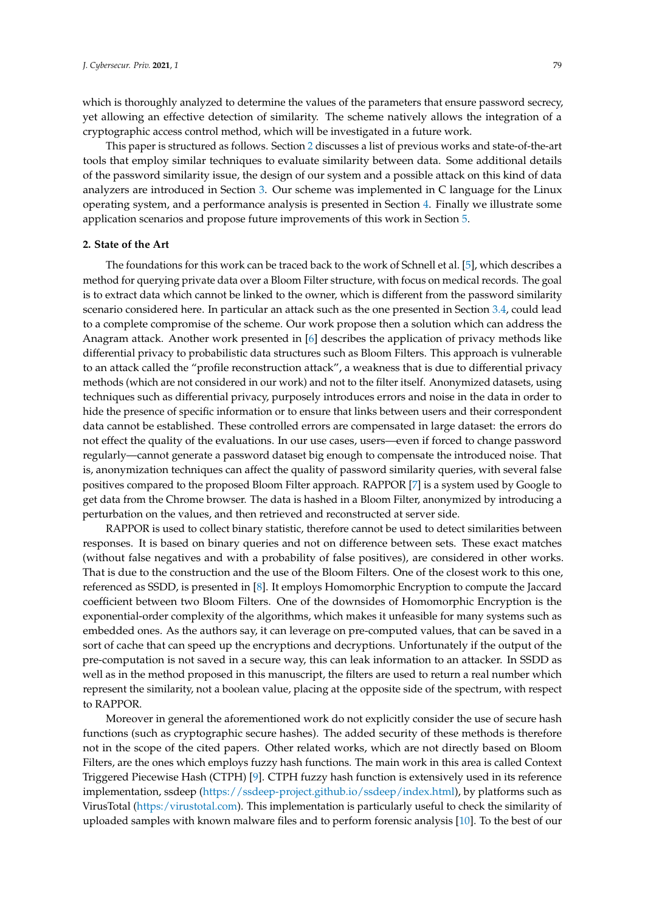which is thoroughly analyzed to determine the values of the parameters that ensure password secrecy, yet allowing an effective detection of similarity. The scheme natively allows the integration of a cryptographic access control method, which will be investigated in a future work.

This paper is structured as follows. Section [2](#page-1-0) discusses a list of previous works and state-of-the-art tools that employ similar techniques to evaluate similarity between data. Some additional details of the password similarity issue, the design of our system and a possible attack on this kind of data analyzers are introduced in Section [3.](#page-2-0) Our scheme was implemented in C language for the Linux operating system, and a performance analysis is presented in Section [4.](#page-8-0) Finally we illustrate some application scenarios and propose future improvements of this work in Section [5.](#page-11-0)

#### <span id="page-1-0"></span>**2. State of the Art**

The foundations for this work can be traced back to the work of Schnell et al. [\[5\]](#page-12-4), which describes a method for querying private data over a Bloom Filter structure, with focus on medical records. The goal is to extract data which cannot be linked to the owner, which is different from the password similarity scenario considered here. In particular an attack such as the one presented in Section [3.4,](#page-7-0) could lead to a complete compromise of the scheme. Our work propose then a solution which can address the Anagram attack. Another work presented in [\[6\]](#page-12-5) describes the application of privacy methods like differential privacy to probabilistic data structures such as Bloom Filters. This approach is vulnerable to an attack called the "profile reconstruction attack", a weakness that is due to differential privacy methods (which are not considered in our work) and not to the filter itself. Anonymized datasets, using techniques such as differential privacy, purposely introduces errors and noise in the data in order to hide the presence of specific information or to ensure that links between users and their correspondent data cannot be established. These controlled errors are compensated in large dataset: the errors do not effect the quality of the evaluations. In our use cases, users—even if forced to change password regularly—cannot generate a password dataset big enough to compensate the introduced noise. That is, anonymization techniques can affect the quality of password similarity queries, with several false positives compared to the proposed Bloom Filter approach. RAPPOR [\[7\]](#page-12-6) is a system used by Google to get data from the Chrome browser. The data is hashed in a Bloom Filter, anonymized by introducing a perturbation on the values, and then retrieved and reconstructed at server side.

RAPPOR is used to collect binary statistic, therefore cannot be used to detect similarities between responses. It is based on binary queries and not on difference between sets. These exact matches (without false negatives and with a probability of false positives), are considered in other works. That is due to the construction and the use of the Bloom Filters. One of the closest work to this one, referenced as SSDD, is presented in [\[8\]](#page-12-7). It employs Homomorphic Encryption to compute the Jaccard coefficient between two Bloom Filters. One of the downsides of Homomorphic Encryption is the exponential-order complexity of the algorithms, which makes it unfeasible for many systems such as embedded ones. As the authors say, it can leverage on pre-computed values, that can be saved in a sort of cache that can speed up the encryptions and decryptions. Unfortunately if the output of the pre-computation is not saved in a secure way, this can leak information to an attacker. In SSDD as well as in the method proposed in this manuscript, the filters are used to return a real number which represent the similarity, not a boolean value, placing at the opposite side of the spectrum, with respect to RAPPOR.

Moreover in general the aforementioned work do not explicitly consider the use of secure hash functions (such as cryptographic secure hashes). The added security of these methods is therefore not in the scope of the cited papers. Other related works, which are not directly based on Bloom Filters, are the ones which employs fuzzy hash functions. The main work in this area is called Context Triggered Piecewise Hash (CTPH) [\[9\]](#page-12-8). CTPH fuzzy hash function is extensively used in its reference implementation, ssdeep [\(https://ssdeep-project.github.io/ssdeep/index.html\)](https://ssdeep-project.github.io/ssdeep/index.html), by platforms such as VirusTotal [\(https:/virustotal.com\)](https:/virustotal.com). This implementation is particularly useful to check the similarity of uploaded samples with known malware files and to perform forensic analysis [\[10\]](#page-13-0). To the best of our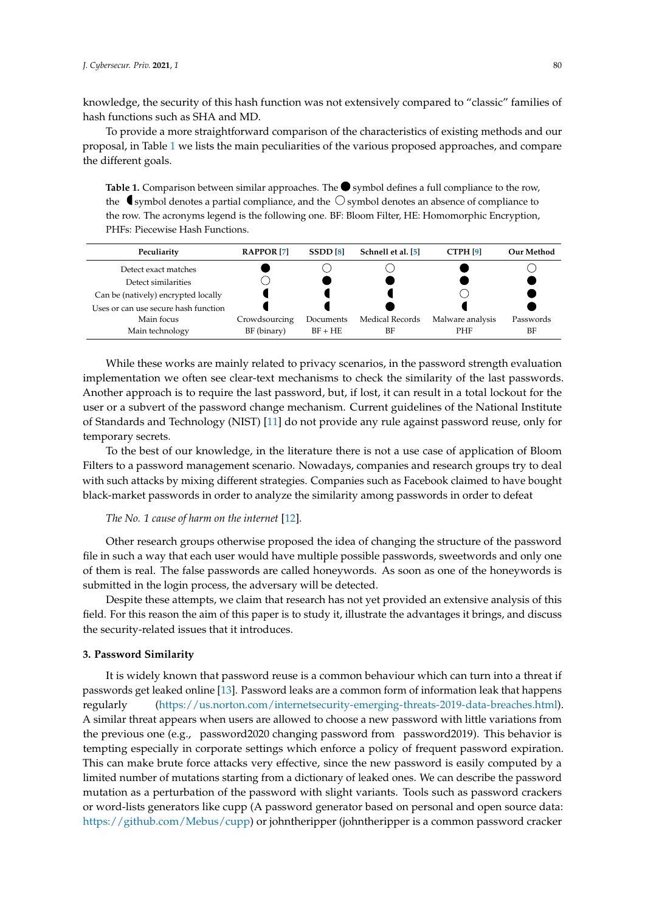knowledge, the security of this hash function was not extensively compared to "classic" families of hash functions such as SHA and MD.

To provide a more straightforward comparison of the characteristics of existing methods and our proposal, in Table [1](#page-2-1) we lists the main peculiarities of the various proposed approaches, and compare the different goals.

<span id="page-2-1"></span>**Table 1.** Comparison between similar approaches. The  $\bullet$  symbol defines a full compliance to the row, the symbol denotes a partial compliance, and the  $\bigcirc$  symbol denotes an absence of compliance to the row. The acronyms legend is the following one. BF: Bloom Filter, HE: Homomorphic Encryption, PHFs: Piecewise Hash Functions.



While these works are mainly related to privacy scenarios, in the password strength evaluation implementation we often see clear-text mechanisms to check the similarity of the last passwords. Another approach is to require the last password, but, if lost, it can result in a total lockout for the user or a subvert of the password change mechanism. Current guidelines of the National Institute of Standards and Technology (NIST) [\[11\]](#page-13-1) do not provide any rule against password reuse, only for temporary secrets.

To the best of our knowledge, in the literature there is not a use case of application of Bloom Filters to a password management scenario. Nowadays, companies and research groups try to deal with such attacks by mixing different strategies. Companies such as Facebook claimed to have bought black-market passwords in order to analyze the similarity among passwords in order to defeat

#### *The No. 1 cause of harm on the internet* [\[12\]](#page-13-2).

Other research groups otherwise proposed the idea of changing the structure of the password file in such a way that each user would have multiple possible passwords, sweetwords and only one of them is real. The false passwords are called honeywords. As soon as one of the honeywords is submitted in the login process, the adversary will be detected.

Despite these attempts, we claim that research has not yet provided an extensive analysis of this field. For this reason the aim of this paper is to study it, illustrate the advantages it brings, and discuss the security-related issues that it introduces.

#### <span id="page-2-0"></span>**3. Password Similarity**

It is widely known that password reuse is a common behaviour which can turn into a threat if passwords get leaked online [\[13\]](#page-13-3). Password leaks are a common form of information leak that happens regularly [\(https://us.norton.com/internetsecurity-emerging-threats-2019-data-breaches.html\)](https://us.norton.com/internetsecurity-emerging-threats-2019-data-breaches.html). A similar threat appears when users are allowed to choose a new password with little variations from the previous one (e.g., password2020 changing password from password2019). This behavior is tempting especially in corporate settings which enforce a policy of frequent password expiration. This can make brute force attacks very effective, since the new password is easily computed by a limited number of mutations starting from a dictionary of leaked ones. We can describe the password mutation as a perturbation of the password with slight variants. Tools such as password crackers or word-lists generators like cupp (A password generator based on personal and open source data: [https://github.com/Mebus/cupp\)](https://github.com/Mebus/cupp) or johntheripper (johntheripper is a common password cracker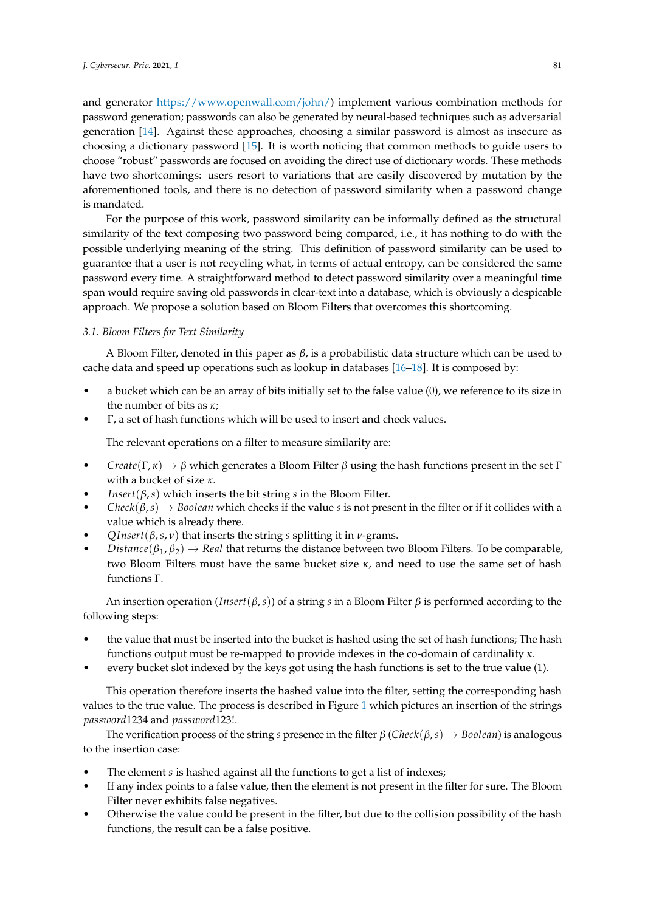and generator [https://www.openwall.com/john/\)](https://www.openwall.com/john/) implement various combination methods for password generation; passwords can also be generated by neural-based techniques such as adversarial generation [\[14\]](#page-13-4). Against these approaches, choosing a similar password is almost as insecure as choosing a dictionary password [\[15\]](#page-13-5). It is worth noticing that common methods to guide users to choose "robust" passwords are focused on avoiding the direct use of dictionary words. These methods have two shortcomings: users resort to variations that are easily discovered by mutation by the aforementioned tools, and there is no detection of password similarity when a password change is mandated.

For the purpose of this work, password similarity can be informally defined as the structural similarity of the text composing two password being compared, i.e., it has nothing to do with the possible underlying meaning of the string. This definition of password similarity can be used to guarantee that a user is not recycling what, in terms of actual entropy, can be considered the same password every time. A straightforward method to detect password similarity over a meaningful time span would require saving old passwords in clear-text into a database, which is obviously a despicable approach. We propose a solution based on Bloom Filters that overcomes this shortcoming.

#### <span id="page-3-0"></span>*3.1. Bloom Filters for Text Similarity*

A Bloom Filter, denoted in this paper as *β*, is a probabilistic data structure which can be used to cache data and speed up operations such as lookup in databases [\[16](#page-13-6)[–18\]](#page-13-7). It is composed by:

- a bucket which can be an array of bits initially set to the false value (0), we reference to its size in the number of bits as *κ*;
- Γ, a set of hash functions which will be used to insert and check values.

The relevant operations on a filter to measure similarity are:

- *Create*( $\Gamma$ ,  $\kappa$ )  $\rightarrow \beta$  which generates a Bloom Filter  $\beta$  using the hash functions present in the set Γ with a bucket of size *κ*.
- *Insert*( $\beta$ ,*s*) which inserts the bit string *s* in the Bloom Filter.
- $Check(\beta, s) \rightarrow Boolean$  which checks if the value *s* is not present in the filter or if it collides with a value which is already there.
- *QInsert*(*β*,*s*, *ν*) that inserts the string *s* splitting it in *ν*-grams.
- *Distance*( $\beta_1, \beta_2$ )  $\rightarrow$  *Real* that returns the distance between two Bloom Filters. To be comparable, two Bloom Filters must have the same bucket size *κ*, and need to use the same set of hash functions Γ.

An insertion operation (*Insert*(*β*,*s*)) of a string *s* in a Bloom Filter *β* is performed according to the following steps:

- the value that must be inserted into the bucket is hashed using the set of hash functions; The hash functions output must be re-mapped to provide indexes in the co-domain of cardinality *κ*.
- every bucket slot indexed by the keys got using the hash functions is set to the true value (1).

This operation therefore inserts the hashed value into the filter, setting the corresponding hash values to the true value. The process is described in Figure [1](#page-4-0) which pictures an insertion of the strings *password*1234 and *password*123!.

The verification process of the string *s* presence in the filter  $\beta$  (*Check*( $\beta$ ,*s*)  $\rightarrow$  *Boolean*) is analogous to the insertion case:

- The element *s* is hashed against all the functions to get a list of indexes;
- If any index points to a false value, then the element is not present in the filter for sure. The Bloom Filter never exhibits false negatives.
- Otherwise the value could be present in the filter, but due to the collision possibility of the hash functions, the result can be a false positive.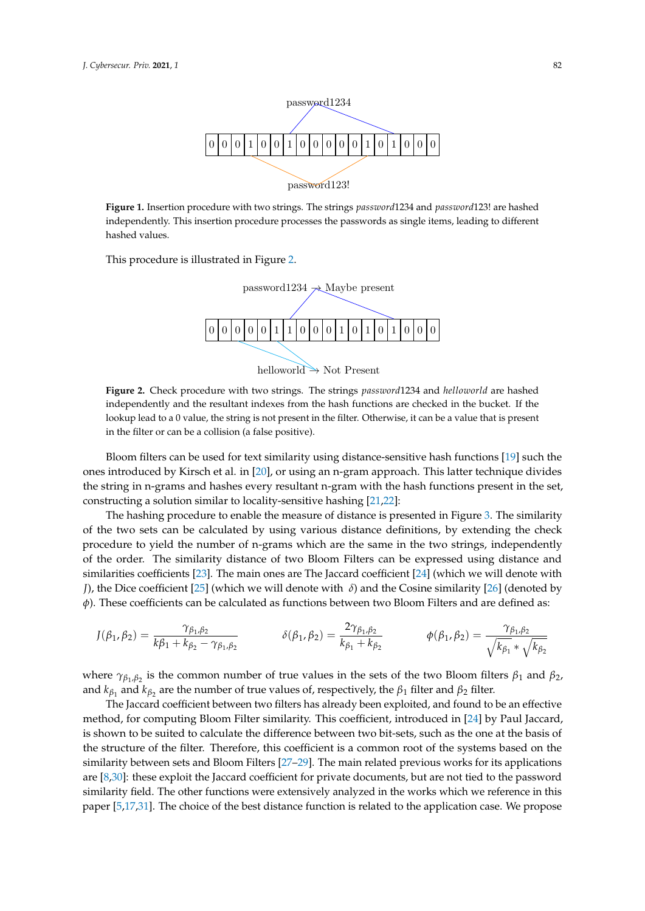<span id="page-4-0"></span>

**Figure 1.** Insertion procedure with two strings. The strings *password*1234 and *password*123! are hashed independently. This insertion procedure processes the passwords as single items, leading to different hashed values.

<span id="page-4-1"></span>This procedure is illustrated in Figure [2.](#page-4-1)



**Figure 2.** Check procedure with two strings. The strings *password*1234 and *helloworld* are hashed independently and the resultant indexes from the hash functions are checked in the bucket. If the lookup lead to a 0 value, the string is not present in the filter. Otherwise, it can be a value that is present in the filter or can be a collision (a false positive).

Bloom filters can be used for text similarity using distance-sensitive hash functions [\[19\]](#page-13-8) such the ones introduced by Kirsch et al. in [\[20\]](#page-13-9), or using an n-gram approach. This latter technique divides the string in n-grams and hashes every resultant n-gram with the hash functions present in the set, constructing a solution similar to locality-sensitive hashing [\[21,](#page-13-10)[22\]](#page-13-11):

The hashing procedure to enable the measure of distance is presented in Figure [3.](#page-5-0) The similarity of the two sets can be calculated by using various distance definitions, by extending the check procedure to yield the number of n-grams which are the same in the two strings, independently of the order. The similarity distance of two Bloom Filters can be expressed using distance and similarities coefficients [\[23\]](#page-13-12). The main ones are The Jaccard coefficient [\[24\]](#page-13-13) (which we will denote with *J*), the Dice coefficient [\[25\]](#page-13-14) (which we will denote with *δ*) and the Cosine similarity [\[26\]](#page-13-15) (denoted by *φ*). These coefficients can be calculated as functions between two Bloom Filters and are defined as:

$$
J(\beta_1, \beta_2) = \frac{\gamma_{\beta_1, \beta_2}}{k\beta_1 + k_{\beta_2} - \gamma_{\beta_1, \beta_2}} \qquad \qquad \delta(\beta_1, \beta_2) = \frac{2\gamma_{\beta_1, \beta_2}}{k_{\beta_1} + k_{\beta_2}} \qquad \qquad \phi(\beta_1, \beta_2) = \frac{\gamma_{\beta_1, \beta_2}}{\sqrt{k_{\beta_1} * \sqrt{k_{\beta_2}}}}
$$

where  $\gamma_{\beta_1,\beta_2}$  is the common number of true values in the sets of the two Bloom filters  $\beta_1$  and  $\beta_2$ , and  $k_{\beta_1}$  and  $k_{\beta_2}$  are the number of true values of, respectively, the  $\beta_1$  filter and  $\beta_2$  filter.

The Jaccard coefficient between two filters has already been exploited, and found to be an effective method, for computing Bloom Filter similarity. This coefficient, introduced in [\[24\]](#page-13-13) by Paul Jaccard, is shown to be suited to calculate the difference between two bit-sets, such as the one at the basis of the structure of the filter. Therefore, this coefficient is a common root of the systems based on the similarity between sets and Bloom Filters [\[27–](#page-13-16)[29\]](#page-13-17). The main related previous works for its applications are [\[8,](#page-12-7)[30\]](#page-13-18): these exploit the Jaccard coefficient for private documents, but are not tied to the password similarity field. The other functions were extensively analyzed in the works which we reference in this paper [\[5,](#page-12-4)[17,](#page-13-19)[31\]](#page-13-20). The choice of the best distance function is related to the application case. We propose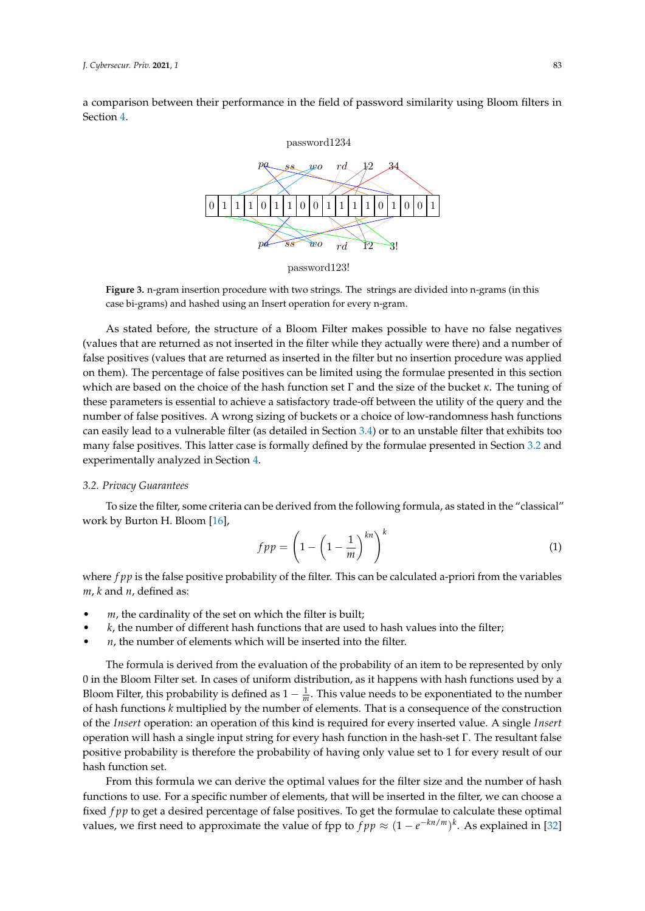<span id="page-5-0"></span>a comparison between their performance in the field of password similarity using Bloom filters in Section [4.](#page-8-0)



password123!

**Figure 3.** n-gram insertion procedure with two strings. The strings are divided into n-grams (in this case bi-grams) and hashed using an Insert operation for every n-gram.

As stated before, the structure of a Bloom Filter makes possible to have no false negatives (values that are returned as not inserted in the filter while they actually were there) and a number of false positives (values that are returned as inserted in the filter but no insertion procedure was applied on them). The percentage of false positives can be limited using the formulae presented in this section which are based on the choice of the hash function set Γ and the size of the bucket *κ*. The tuning of these parameters is essential to achieve a satisfactory trade-off between the utility of the query and the number of false positives. A wrong sizing of buckets or a choice of low-randomness hash functions can easily lead to a vulnerable filter (as detailed in Section [3.4\)](#page-7-0) or to an unstable filter that exhibits too many false positives. This latter case is formally defined by the formulae presented in Section [3.2](#page-5-1) and experimentally analyzed in Section [4.](#page-8-0)

#### <span id="page-5-1"></span>*3.2. Privacy Guarantees*

To size the filter, some criteria can be derived from the following formula, as stated in the "classical" work by Burton H. Bloom [\[16\]](#page-13-6),

<span id="page-5-2"></span>
$$
fpp = \left(1 - \left(1 - \frac{1}{m}\right)^{kn}\right)^k\tag{1}
$$

where *f pp* is the false positive probability of the filter. This can be calculated a-priori from the variables *m*, *k* and *n*, defined as:

- *m*, the cardinality of the set on which the filter is built;
- *k*, the number of different hash functions that are used to hash values into the filter;
- $n$ , the number of elements which will be inserted into the filter.

The formula is derived from the evaluation of the probability of an item to be represented by only 0 in the Bloom Filter set. In cases of uniform distribution, as it happens with hash functions used by a Bloom Filter, this probability is defined as  $1 - \frac{1}{m}$ . This value needs to be exponentiated to the number of hash functions *k* multiplied by the number of elements. That is a consequence of the construction of the *Insert* operation: an operation of this kind is required for every inserted value. A single *Insert* operation will hash a single input string for every hash function in the hash-set Γ. The resultant false positive probability is therefore the probability of having only value set to 1 for every result of our hash function set.

From this formula we can derive the optimal values for the filter size and the number of hash functions to use. For a specific number of elements, that will be inserted in the filter, we can choose a fixed *f pp* to get a desired percentage of false positives. To get the formulae to calculate these optimal values, we first need to approximate the value of fpp to  $fpp \approx (1 - e^{-kn/m})^k$ . As explained in [\[32\]](#page-13-21)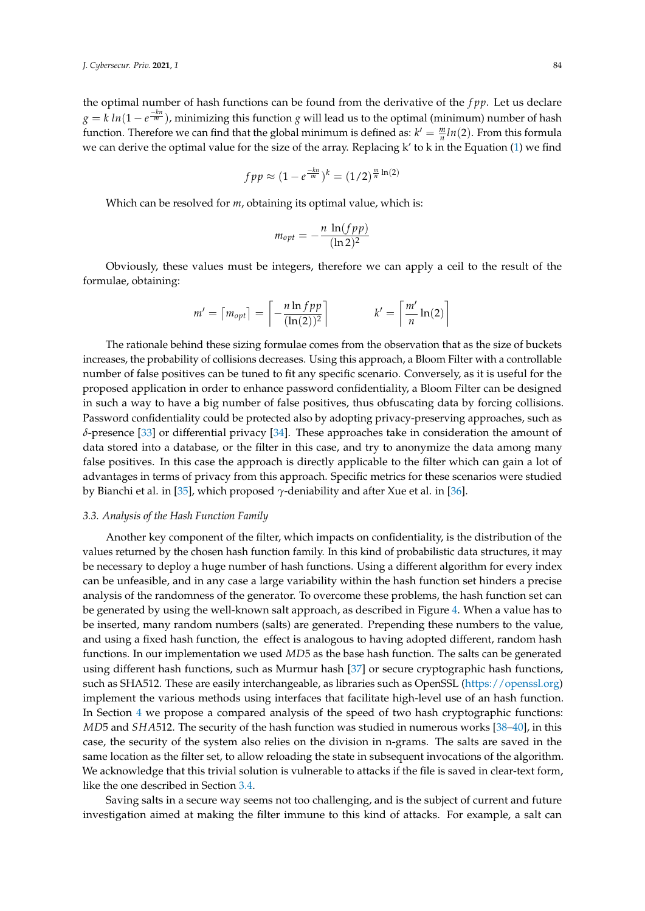the optimal number of hash functions can be found from the derivative of the *f pp*. Let us declare  $g = k ln(1 - e^{\frac{-kn}{m}})$ , minimizing this function *g* will lead us to the optimal (minimum) number of hash function. Therefore we can find that the global minimum is defined as:  $k' = \frac{m}{n} ln(2)$ . From this formula we can derive the optimal value for the size of the array. Replacing k' to k in the Equation [\(1\)](#page-5-2) we find

$$
fpp \approx (1 - e^{\frac{-kn}{m}})^k = (1/2)^{\frac{m}{n}\ln(2)}
$$

Which can be resolved for *m*, obtaining its optimal value, which is:

$$
m_{opt} = -\frac{n \ln(fpp)}{(\ln 2)^2}
$$

Obviously, these values must be integers, therefore we can apply a ceil to the result of the formulae, obtaining:

$$
m' = \lceil m_{opt} \rceil = \left\lceil -\frac{n \ln f p p}{(\ln(2))^2} \right\rceil \qquad \qquad k' = \left\lceil \frac{m'}{n} \ln(2) \right\rceil
$$

The rationale behind these sizing formulae comes from the observation that as the size of buckets increases, the probability of collisions decreases. Using this approach, a Bloom Filter with a controllable number of false positives can be tuned to fit any specific scenario. Conversely, as it is useful for the proposed application in order to enhance password confidentiality, a Bloom Filter can be designed in such a way to have a big number of false positives, thus obfuscating data by forcing collisions. Password confidentiality could be protected also by adopting privacy-preserving approaches, such as *δ*-presence [\[33\]](#page-14-0) or differential privacy [\[34\]](#page-14-1). These approaches take in consideration the amount of data stored into a database, or the filter in this case, and try to anonymize the data among many false positives. In this case the approach is directly applicable to the filter which can gain a lot of advantages in terms of privacy from this approach. Specific metrics for these scenarios were studied by Bianchi et al. in [\[35\]](#page-14-2), which proposed *γ*-deniability and after Xue et al. in [\[36\]](#page-14-3).

#### *3.3. Analysis of the Hash Function Family*

Another key component of the filter, which impacts on confidentiality, is the distribution of the values returned by the chosen hash function family. In this kind of probabilistic data structures, it may be necessary to deploy a huge number of hash functions. Using a different algorithm for every index can be unfeasible, and in any case a large variability within the hash function set hinders a precise analysis of the randomness of the generator. To overcome these problems, the hash function set can be generated by using the well-known salt approach, as described in Figure [4.](#page-7-1) When a value has to be inserted, many random numbers (salts) are generated. Prepending these numbers to the value, and using a fixed hash function, the effect is analogous to having adopted different, random hash functions. In our implementation we used *MD*5 as the base hash function. The salts can be generated using different hash functions, such as Murmur hash [\[37\]](#page-14-4) or secure cryptographic hash functions, such as SHA512. These are easily interchangeable, as libraries such as OpenSSL [\(https://openssl.org\)](https://openssl.org) implement the various methods using interfaces that facilitate high-level use of an hash function. In Section [4](#page-8-0) we propose a compared analysis of the speed of two hash cryptographic functions: *MD*5 and *SHA*512. The security of the hash function was studied in numerous works [\[38](#page-14-5)[–40\]](#page-14-6), in this case, the security of the system also relies on the division in n-grams. The salts are saved in the same location as the filter set, to allow reloading the state in subsequent invocations of the algorithm. We acknowledge that this trivial solution is vulnerable to attacks if the file is saved in clear-text form, like the one described in Section [3.4.](#page-7-0)

Saving salts in a secure way seems not too challenging, and is the subject of current and future investigation aimed at making the filter immune to this kind of attacks. For example, a salt can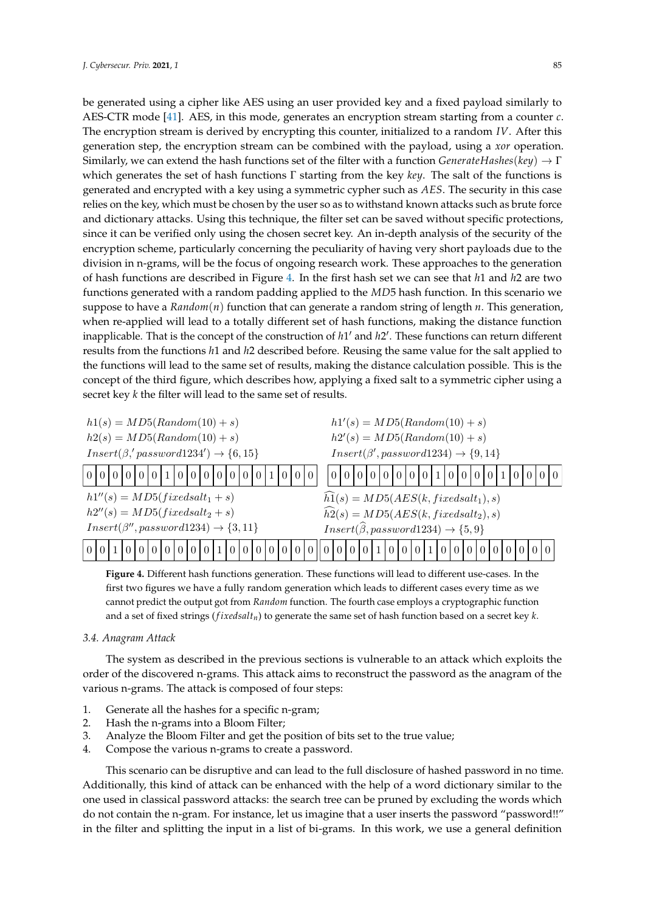be generated using a cipher like AES using an user provided key and a fixed payload similarly to AES-CTR mode [\[41\]](#page-14-7). AES, in this mode, generates an encryption stream starting from a counter *c*. The encryption stream is derived by encrypting this counter, initialized to a random *IV*. After this generation step, the encryption stream can be combined with the payload, using a *xor* operation. Similarly, we can extend the hash functions set of the filter with a function *GenerateHashes*(*key*) → Γ which generates the set of hash functions Γ starting from the key *key*. The salt of the functions is generated and encrypted with a key using a symmetric cypher such as *AES*. The security in this case relies on the key, which must be chosen by the user so as to withstand known attacks such as brute force and dictionary attacks. Using this technique, the filter set can be saved without specific protections, since it can be verified only using the chosen secret key. An in-depth analysis of the security of the encryption scheme, particularly concerning the peculiarity of having very short payloads due to the division in n-grams, will be the focus of ongoing research work. These approaches to the generation of hash functions are described in Figure [4.](#page-7-1) In the first hash set we can see that *h*1 and *h*2 are two functions generated with a random padding applied to the *MD*5 hash function. In this scenario we suppose to have a *Random*(*n*) function that can generate a random string of length *n*. This generation, when re-applied will lead to a totally different set of hash functions, making the distance function inapplicable. That is the concept of the construction of *h*1' and *h*2'. These functions can return different results from the functions *h*1 and *h*2 described before. Reusing the same value for the salt applied to the functions will lead to the same set of results, making the distance calculation possible. This is the concept of the third figure, which describes how, applying a fixed salt to a symmetric cipher using a secret key *k* the filter will lead to the same set of results.

<span id="page-7-1"></span>

**Figure 4.** Different hash functions generation. These functions will lead to different use-cases. In the first two figures we have a fully random generation which leads to different cases every time as we cannot predict the output got from *Random* function. The fourth case employs a cryptographic function and a set of fixed strings (*f ixedsaltn*) to generate the same set of hash function based on a secret key *k*.

#### <span id="page-7-0"></span>*3.4. Anagram Attack*

The system as described in the previous sections is vulnerable to an attack which exploits the order of the discovered n-grams. This attack aims to reconstruct the password as the anagram of the various n-grams. The attack is composed of four steps:

- 1. Generate all the hashes for a specific n-gram;
- 2. Hash the n-grams into a Bloom Filter;
- 3. Analyze the Bloom Filter and get the position of bits set to the true value;
- 4. Compose the various n-grams to create a password.

This scenario can be disruptive and can lead to the full disclosure of hashed password in no time. Additionally, this kind of attack can be enhanced with the help of a word dictionary similar to the one used in classical password attacks: the search tree can be pruned by excluding the words which do not contain the n-gram. For instance, let us imagine that a user inserts the password "password!!" in the filter and splitting the input in a list of bi-grams. In this work, we use a general definition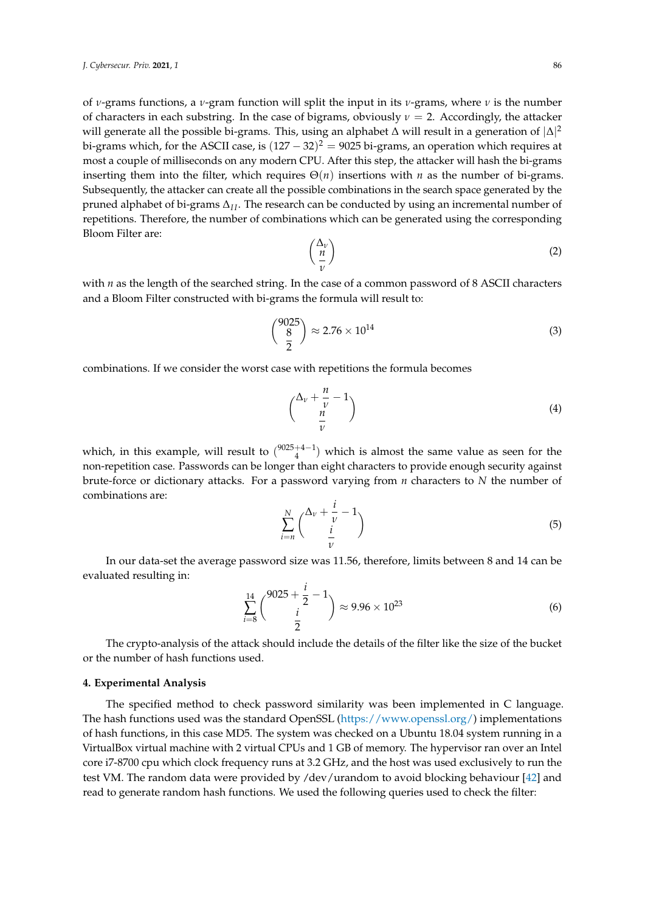of *ν*-grams functions, a *ν*-gram function will split the input in its *ν*-grams, where *ν* is the number of characters in each substring. In the case of bigrams, obviously  $\nu = 2$ . Accordingly, the attacker will generate all the possible bi-grams. This, using an alphabet  $\Delta$  will result in a generation of  $|\Delta|^2$ bi-grams which, for the ASCII case, is  $(127-32)^2 = 9025$  bi-grams, an operation which requires at most a couple of milliseconds on any modern CPU. After this step, the attacker will hash the bi-grams inserting them into the filter, which requires  $\Theta(n)$  insertions with *n* as the number of bi-grams. Subsequently, the attacker can create all the possible combinations in the search space generated by the pruned alphabet of bi-grams  $\Delta$ <sub>*II*</sub>. The research can be conducted by using an incremental number of repetitions. Therefore, the number of combinations which can be generated using the corresponding Bloom Filter are:

$$
\left(\frac{\Delta_{\nu}}{\nu}\right) \tag{2}
$$

with *n* as the length of the searched string. In the case of a common password of 8 ASCII characters and a Bloom Filter constructed with bi-grams the formula will result to:

$$
\binom{9025}{\frac{8}{2}} \approx 2.76 \times 10^{14} \tag{3}
$$

combinations. If we consider the worst case with repetitions the formula becomes

$$
\binom{\Delta_v + \frac{n}{v} - 1}{\frac{n}{v}} \tag{4}
$$

which, in this example, will result to  $\binom{9025+4-1}{4}$  which is almost the same value as seen for the non-repetition case. Passwords can be longer than eight characters to provide enough security against brute-force or dictionary attacks. For a password varying from *n* characters to *N* the number of combinations are:

$$
\sum_{i=n}^{N} {\lambda_v + \frac{i}{v} - 1 \choose \frac{i}{v}}
$$
\n(5)

In our data-set the average password size was 11.56, therefore, limits between 8 and 14 can be evaluated resulting in:

$$
\sum_{i=8}^{14} {9025 + \frac{i}{2} - 1 \choose \frac{i}{2}} \approx 9.96 \times 10^{23}
$$
 (6)

The crypto-analysis of the attack should include the details of the filter like the size of the bucket or the number of hash functions used.

#### <span id="page-8-0"></span>**4. Experimental Analysis**

The specified method to check password similarity was been implemented in C language. The hash functions used was the standard OpenSSL [\(https://www.openssl.org/\)](https://www.openssl.org/) implementations of hash functions, in this case MD5. The system was checked on a Ubuntu 18.04 system running in a VirtualBox virtual machine with 2 virtual CPUs and 1 GB of memory. The hypervisor ran over an Intel core i7-8700 cpu which clock frequency runs at 3.2 GHz, and the host was used exclusively to run the test VM. The random data were provided by /dev/urandom to avoid blocking behaviour [\[42\]](#page-14-8) and read to generate random hash functions. We used the following queries used to check the filter: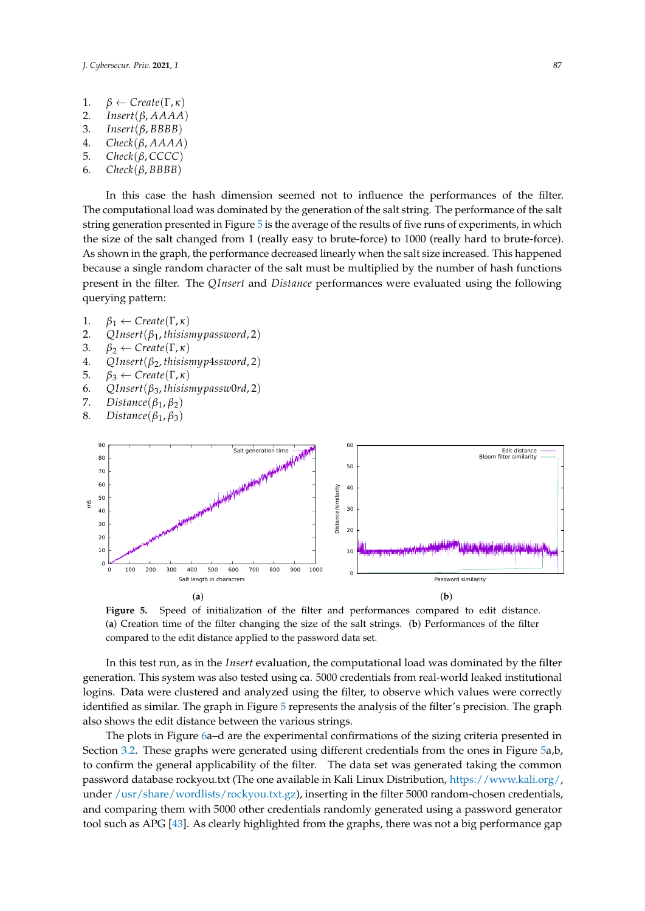- 1.  $\beta \leftarrow Create(\Gamma, \kappa)$ <br>2. *Insert*(*β. AAAA*
- 2. *Insert*(*β*, *AAAA*)
- 3. *Insert*(*β*, *BBBB*)
- 4. *Check*(*β*, *AAAA*)
- 5. *Check*(*β*, *CCCC*)
- 6. *Check*(*β*, *BBBB*)

In this case the hash dimension seemed not to influence the performances of the filter. The computational load was dominated by the generation of the salt string. The performance of the salt string generation presented in Figure [5](#page-9-0) is the average of the results of five runs of experiments, in which the size of the salt changed from 1 (really easy to brute-force) to 1000 (really hard to brute-force). As shown in the graph, the performance decreased linearly when the salt size increased. This happened because a single random character of the salt must be multiplied by the number of hash functions present in the filter. The *QInsert* and *Distance* performances were evaluated using the following querying pattern:

- 1.  $\beta_1 \leftarrow Create(\Gamma, \kappa)$ <br>2. *OInsert*( $\beta_1$ , thisis
- 2. *QInsert*( $\beta_1$ , *thisismy password*, 2)<br>3  $\beta_2 \leftarrow Create(\Gamma_K)$
- 3.  $\beta_2 \leftarrow Create(\Gamma, \kappa)$ <br>4. *OInsert*( $\beta_2$ , thisisi
- 4. *QInsert*(*β*2, *thisismyp*4*ssword*, 2)
- 5.  $β_3 ← Create(Γ, κ)$ <br>6. *OInsert*(*β*<sub>3</sub>, thisis)
- 6. *QInsert*(*β*3, *thisismypassw*0*rd*, 2)
- $Distance(\beta_1, \beta_2)$
- 8. *Distance*(*β*1, *β*3)

<span id="page-9-0"></span>

**Figure 5.** Speed of initialization of the filter and performances compared to edit distance. (**a**) Creation time of the filter changing the size of the salt strings. (**b**) Performances of the filter compared to the edit distance applied to the password data set.

In this test run, as in the *Insert* evaluation, the computational load was dominated by the filter generation. This system was also tested using ca. 5000 credentials from real-world leaked institutional logins. Data were clustered and analyzed using the filter, to observe which values were correctly identified as similar. The graph in Figure [5](#page-9-0) represents the analysis of the filter's precision. The graph also shows the edit distance between the various strings.

The plots in Figure [6a](#page-10-0)–d are the experimental confirmations of the sizing criteria presented in Section [3.2.](#page-5-1) These graphs were generated using different credentials from the ones in Figure [5a](#page-9-0),b, to confirm the general applicability of the filter. The data set was generated taking the common password database rockyou.txt (The one available in Kali Linux Distribution, [https://www.kali.org/,](https://www.kali.org/) under [/usr/share/wordlists/rockyou.txt.gz\)](/usr/share/wordlists/rockyou.txt.gz), inserting in the filter 5000 random-chosen credentials, and comparing them with 5000 other credentials randomly generated using a password generator tool such as APG [\[43\]](#page-14-9). As clearly highlighted from the graphs, there was not a big performance gap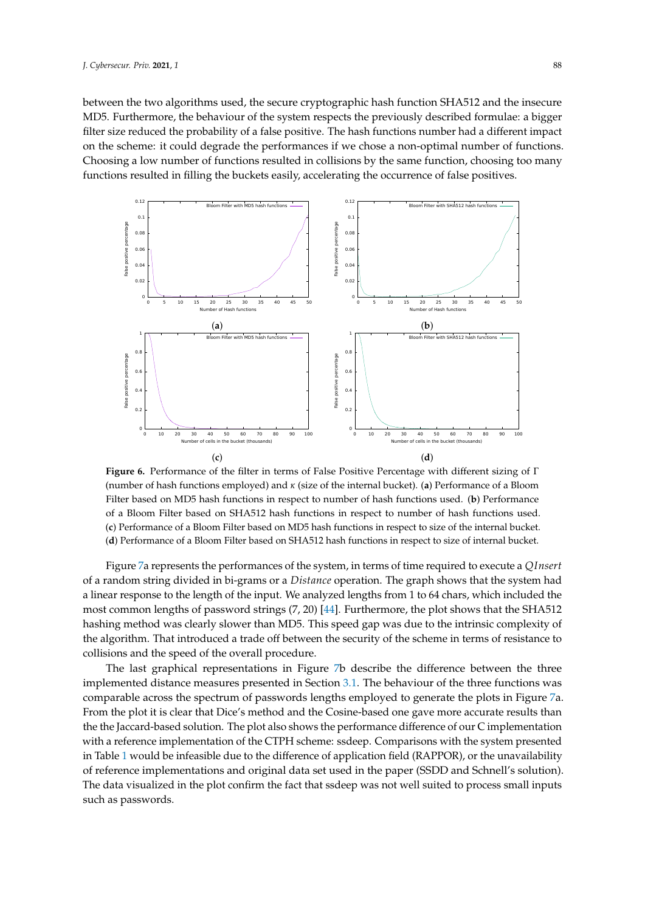between the two algorithms used, the secure cryptographic hash function SHA512 and the insecure MD5. Furthermore, the behaviour of the system respects the previously described formulae: a bigger filter size reduced the probability of a false positive. The hash functions number had a different impact on the scheme: it could degrade the performances if we chose a non-optimal number of functions. Choosing a low number of functions resulted in collisions by the same function, choosing too many functions resulted in filling the buckets easily, accelerating the occurrence of false positives.

<span id="page-10-0"></span>

**Figure 6.** Performance of the filter in terms of False Positive Percentage with different sizing of Γ (number of hash functions employed) and *κ* (size of the internal bucket). (**a**) Performance of a Bloom Filter based on MD5 hash functions in respect to number of hash functions used. (**b**) Performance of a Bloom Filter based on SHA512 hash functions in respect to number of hash functions used. (**c**) Performance of a Bloom Filter based on MD5 hash functions in respect to size of the internal bucket. (**d**) Performance of a Bloom Filter based on SHA512 hash functions in respect to size of internal bucket.

Figure [7a](#page-11-1) represents the performances of the system, in terms of time required to execute a *QInsert* of a random string divided in bi-grams or a *Distance* operation. The graph shows that the system had a linear response to the length of the input. We analyzed lengths from 1 to 64 chars, which included the most common lengths of password strings (7, 20) [\[44\]](#page-14-10). Furthermore, the plot shows that the SHA512 hashing method was clearly slower than MD5. This speed gap was due to the intrinsic complexity of the algorithm. That introduced a trade off between the security of the scheme in terms of resistance to collisions and the speed of the overall procedure.

The last graphical representations in Figure [7b](#page-11-1) describe the difference between the three implemented distance measures presented in Section [3.1.](#page-3-0) The behaviour of the three functions was comparable across the spectrum of passwords lengths employed to generate the plots in Figure [7a](#page-11-1). From the plot it is clear that Dice's method and the Cosine-based one gave more accurate results than the the Jaccard-based solution. The plot also shows the performance difference of our C implementation with a reference implementation of the CTPH scheme: ssdeep. Comparisons with the system presented in Table [1](#page-2-1) would be infeasible due to the difference of application field (RAPPOR), or the unavailability of reference implementations and original data set used in the paper (SSDD and Schnell's solution). The data visualized in the plot confirm the fact that ssdeep was not well suited to process small inputs such as passwords.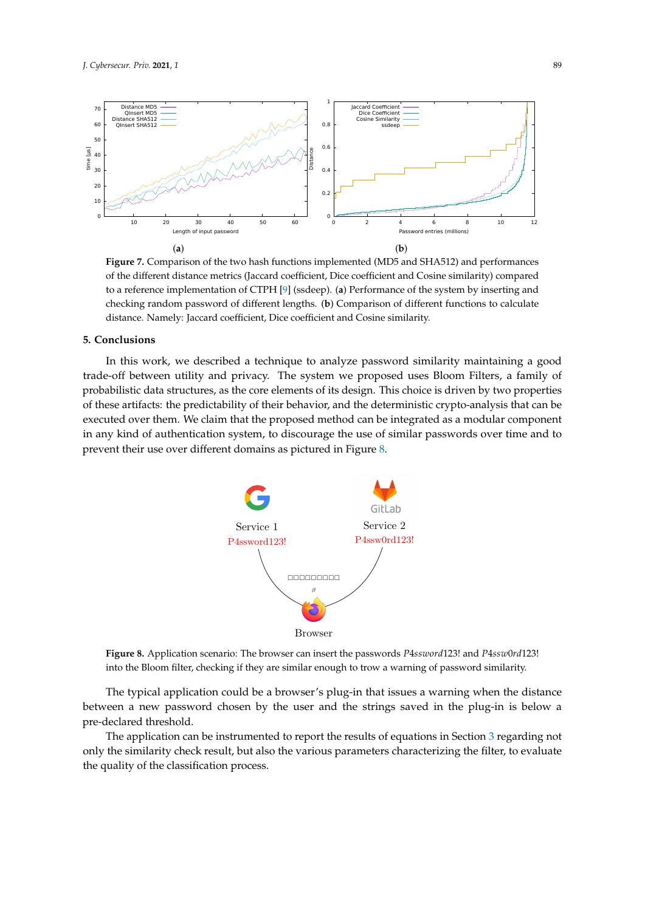<span id="page-11-1"></span>

**Figure 7.** Comparison of the two hash functions implemented (MD5 and SHA512) and performances of the different distance metrics (Jaccard coefficient, Dice coefficient and Cosine similarity) compared to a reference implementation of CTPH [\[9\]](#page-12-8) (ssdeep). (**a**) Performance of the system by inserting and checking random password of different lengths. (**b**) Comparison of different functions to calculate distance. Namely: Jaccard coefficient, Dice coefficient and Cosine similarity.

### <span id="page-11-0"></span>**5. Conclusions**

<span id="page-11-2"></span>In this work, we described a technique to analyze password similarity maintaining a good trade-off between utility and privacy. The system we proposed uses Bloom Filters, a family of probabilistic data structures, as the core elements of its design. This choice is driven by two properties of these artifacts: the predictability of their behavior, and the deterministic crypto-analysis that can be executed over them. We claim that the proposed method can be integrated as a modular component in any kind of authentication system, to discourage the use of similar passwords over time and to prevent their use over different domains as pictured in Figure [8.](#page-11-2)



**Figure 8.** Application scenario: The browser can insert the passwords *P*4*ssword*123! and *P*4*ssw*0*rd*123! into the Bloom filter, checking if they are similar enough to trow a warning of password similarity.

The typical application could be a browser's plug-in that issues a warning when the distance between a new password chosen by the user and the strings saved in the plug-in is below a pre-declared threshold.

The application can be instrumented to report the results of equations in Section [3](#page-2-0) regarding not only the similarity check result, but also the various parameters characterizing the filter, to evaluate the quality of the classification process.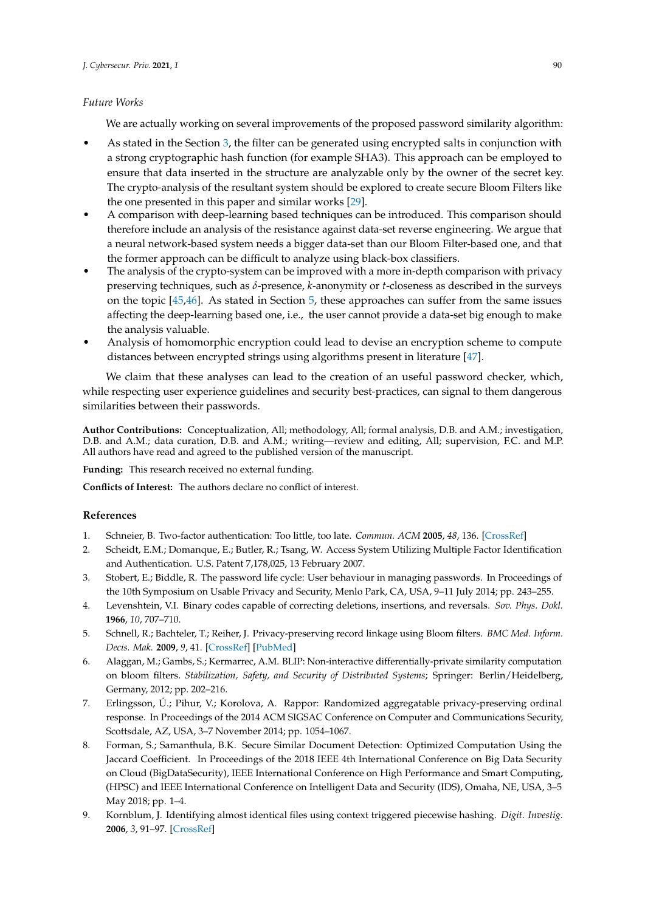#### *Future Works*

We are actually working on several improvements of the proposed password similarity algorithm:

- As stated in the Section [3,](#page-2-0) the filter can be generated using encrypted salts in conjunction with a strong cryptographic hash function (for example SHA3). This approach can be employed to ensure that data inserted in the structure are analyzable only by the owner of the secret key. The crypto-analysis of the resultant system should be explored to create secure Bloom Filters like the one presented in this paper and similar works [\[29\]](#page-13-17).
- A comparison with deep-learning based techniques can be introduced. This comparison should therefore include an analysis of the resistance against data-set reverse engineering. We argue that a neural network-based system needs a bigger data-set than our Bloom Filter-based one, and that the former approach can be difficult to analyze using black-box classifiers.
- The analysis of the crypto-system can be improved with a more in-depth comparison with privacy preserving techniques, such as *δ*-presence, *k*-anonymity or *t*-closeness as described in the surveys on the topic [\[45](#page-14-11)[,46\]](#page-14-12). As stated in Section [5,](#page-11-0) these approaches can suffer from the same issues affecting the deep-learning based one, i.e., the user cannot provide a data-set big enough to make the analysis valuable.
- Analysis of homomorphic encryption could lead to devise an encryption scheme to compute distances between encrypted strings using algorithms present in literature [\[47\]](#page-14-13).

We claim that these analyses can lead to the creation of an useful password checker, which, while respecting user experience guidelines and security best-practices, can signal to them dangerous similarities between their passwords.

**Author Contributions:** Conceptualization, All; methodology, All; formal analysis, D.B. and A.M.; investigation, D.B. and A.M.; data curation, D.B. and A.M.; writing—review and editing, All; supervision, F.C. and M.P. All authors have read and agreed to the published version of the manuscript.

**Funding:** This research received no external funding.

**Conflicts of Interest:** The authors declare no conflict of interest.

#### **References**

- <span id="page-12-1"></span><span id="page-12-0"></span>1. Schneier, B. Two-factor authentication: Too little, too late. *Commun. ACM* **2005**, *48*, 136. [\[CrossRef\]](http://dx.doi.org/10.1145/1053291.1053327)
- 2. Scheidt, E.M.; Domanque, E.; Butler, R.; Tsang, W. Access System Utilizing Multiple Factor Identification and Authentication. U.S. Patent 7,178,025, 13 February 2007.
- <span id="page-12-2"></span>3. Stobert, E.; Biddle, R. The password life cycle: User behaviour in managing passwords. In Proceedings of the 10th Symposium on Usable Privacy and Security, Menlo Park, CA, USA, 9–11 July 2014; pp. 243–255.
- <span id="page-12-3"></span>4. Levenshtein, V.I. Binary codes capable of correcting deletions, insertions, and reversals. *Sov. Phys. Dokl.* **1966**, *10*, 707–710.
- <span id="page-12-4"></span>5. Schnell, R.; Bachteler, T.; Reiher, J. Privacy-preserving record linkage using Bloom filters. *BMC Med. Inform. Decis. Mak.* **2009**, *9*, 41. [\[CrossRef\]](http://dx.doi.org/10.1186/1472-6947-9-41) [\[PubMed\]](http://www.ncbi.nlm.nih.gov/pubmed/19706187)
- <span id="page-12-5"></span>6. Alaggan, M.; Gambs, S.; Kermarrec, A.M. BLIP: Non-interactive differentially-private similarity computation on bloom filters. *Stabilization, Safety, and Security of Distributed Systems*; Springer: Berlin/Heidelberg, Germany, 2012; pp. 202–216.
- <span id="page-12-6"></span>7. Erlingsson, Ú.; Pihur, V.; Korolova, A. Rappor: Randomized aggregatable privacy-preserving ordinal response. In Proceedings of the 2014 ACM SIGSAC Conference on Computer and Communications Security, Scottsdale, AZ, USA, 3–7 November 2014; pp. 1054–1067.
- <span id="page-12-7"></span>8. Forman, S.; Samanthula, B.K. Secure Similar Document Detection: Optimized Computation Using the Jaccard Coefficient. In Proceedings of the 2018 IEEE 4th International Conference on Big Data Security on Cloud (BigDataSecurity), IEEE International Conference on High Performance and Smart Computing, (HPSC) and IEEE International Conference on Intelligent Data and Security (IDS), Omaha, NE, USA, 3–5 May 2018; pp. 1–4.
- <span id="page-12-8"></span>9. Kornblum, J. Identifying almost identical files using context triggered piecewise hashing. *Digit. Investig.* **2006**, *3*, 91–97. [\[CrossRef\]](http://dx.doi.org/10.1016/j.diin.2006.06.015)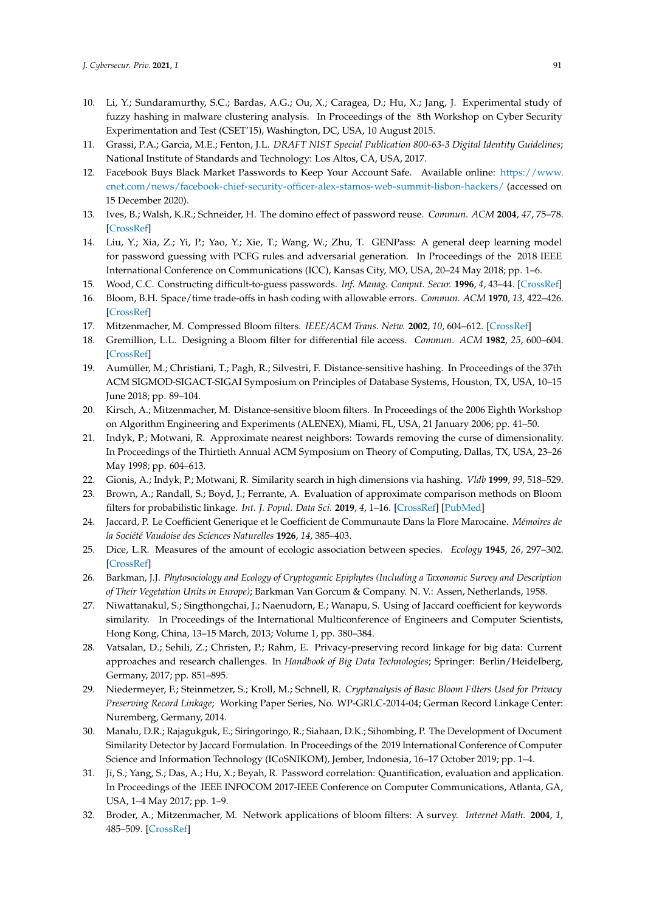- <span id="page-13-0"></span>10. Li, Y.; Sundaramurthy, S.C.; Bardas, A.G.; Ou, X.; Caragea, D.; Hu, X.; Jang, J. Experimental study of fuzzy hashing in malware clustering analysis. In Proceedings of the 8th Workshop on Cyber Security Experimentation and Test (CSET'15), Washington, DC, USA, 10 August 2015.
- <span id="page-13-1"></span>11. Grassi, P.A.; Garcia, M.E.; Fenton, J.L. *DRAFT NIST Special Publication 800-63-3 Digital Identity Guidelines*; National Institute of Standards and Technology: Los Altos, CA, USA, 2017.
- <span id="page-13-2"></span>12. Facebook Buys Black Market Passwords to Keep Your Account Safe. Available online: [https://www.](https://www.cnet.com/news/facebook-chief-security-officer-alex-stamos-web-summit-lisbon-hackers/) [cnet.com/news/facebook-chief-security-officer-alex-stamos-web-summit-lisbon-hackers/](https://www.cnet.com/news/facebook-chief-security-officer-alex-stamos-web-summit-lisbon-hackers/) (accessed on 15 December 2020).
- <span id="page-13-3"></span>13. Ives, B.; Walsh, K.R.; Schneider, H. The domino effect of password reuse. *Commun. ACM* **2004**, *47*, 75–78. [\[CrossRef\]](http://dx.doi.org/10.1145/975817.975820)
- <span id="page-13-4"></span>14. Liu, Y.; Xia, Z.; Yi, P.; Yao, Y.; Xie, T.; Wang, W.; Zhu, T. GENPass: A general deep learning model for password guessing with PCFG rules and adversarial generation. In Proceedings of the 2018 IEEE International Conference on Communications (ICC), Kansas City, MO, USA, 20–24 May 2018; pp. 1–6.
- <span id="page-13-5"></span>15. Wood, C.C. Constructing difficult-to-guess passwords. *Inf. Manag. Comput. Secur.* **1996**, *4*, 43–44. [\[CrossRef\]](http://dx.doi.org/10.1108/09685229610114204)
- <span id="page-13-6"></span>16. Bloom, B.H. Space/time trade-offs in hash coding with allowable errors. *Commun. ACM* **1970**, *13*, 422–426. [\[CrossRef\]](http://dx.doi.org/10.1145/362686.362692)
- <span id="page-13-19"></span>17. Mitzenmacher, M. Compressed Bloom filters. *IEEE/ACM Trans. Netw.* **2002**, *10*, 604–612. [\[CrossRef\]](http://dx.doi.org/10.1109/TNET.2002.803864)
- <span id="page-13-7"></span>18. Gremillion, L.L. Designing a Bloom filter for differential file access. *Commun. ACM* **1982**, *25*, 600–604. [\[CrossRef\]](http://dx.doi.org/10.1145/358628.358632)
- <span id="page-13-8"></span>19. Aumüller, M.; Christiani, T.; Pagh, R.; Silvestri, F. Distance-sensitive hashing. In Proceedings of the 37th ACM SIGMOD-SIGACT-SIGAI Symposium on Principles of Database Systems, Houston, TX, USA, 10–15 June 2018; pp. 89–104.
- <span id="page-13-9"></span>20. Kirsch, A.; Mitzenmacher, M. Distance-sensitive bloom filters. In Proceedings of the 2006 Eighth Workshop on Algorithm Engineering and Experiments (ALENEX), Miami, FL, USA, 21 January 2006; pp. 41–50.
- <span id="page-13-10"></span>21. Indyk, P.; Motwani, R. Approximate nearest neighbors: Towards removing the curse of dimensionality. In Proceedings of the Thirtieth Annual ACM Symposium on Theory of Computing, Dallas, TX, USA, 23–26 May 1998; pp. 604–613.
- <span id="page-13-11"></span>22. Gionis, A.; Indyk, P.; Motwani, R. Similarity search in high dimensions via hashing. *Vldb* **1999**, *99*, 518–529.
- <span id="page-13-12"></span>23. Brown, A.; Randall, S.; Boyd, J.; Ferrante, A. Evaluation of approximate comparison methods on Bloom filters for probabilistic linkage. *Int. J. Popul. Data Sci.* **2019**, *4*, 1–16. [\[CrossRef\]](http://dx.doi.org/10.23889/ijpds.v4i1.1095) [\[PubMed\]](http://www.ncbi.nlm.nih.gov/pubmed/32935029)
- <span id="page-13-13"></span>24. Jaccard, P. Le Coefficient Generique et le Coefficient de Communaute Dans la Flore Marocaine. *Mémoires de la Société Vaudoise des Sciences Naturelles* **1926**, *14*, 385–403.
- <span id="page-13-14"></span>25. Dice, L.R. Measures of the amount of ecologic association between species. *Ecology* **1945**, *26*, 297–302. [\[CrossRef\]](http://dx.doi.org/10.2307/1932409)
- <span id="page-13-15"></span>26. Barkman, J.J. *Phytosociology and Ecology of Cryptogamic Epiphytes (Including a Taxonomic Survey and Description of Their Vegetation Units in Europe)*; Barkman Van Gorcum & Company. N. V.: Assen, Netherlands, 1958.
- <span id="page-13-16"></span>27. Niwattanakul, S.; Singthongchai, J.; Naenudorn, E.; Wanapu, S. Using of Jaccard coefficient for keywords similarity. In Proceedings of the International Multiconference of Engineers and Computer Scientists, Hong Kong, China, 13–15 March, 2013; Volume 1, pp. 380–384.
- 28. Vatsalan, D.; Sehili, Z.; Christen, P.; Rahm, E. Privacy-preserving record linkage for big data: Current approaches and research challenges. In *Handbook of Big Data Technologies*; Springer: Berlin/Heidelberg, Germany, 2017; pp. 851–895.
- <span id="page-13-17"></span>29. Niedermeyer, F.; Steinmetzer, S.; Kroll, M.; Schnell, R. *Cryptanalysis of Basic Bloom Filters Used for Privacy Preserving Record Linkage*; Working Paper Series, No. WP-GRLC-2014-04; German Record Linkage Center: Nuremberg, Germany, 2014.
- <span id="page-13-18"></span>30. Manalu, D.R.; Rajagukguk, E.; Siringoringo, R.; Siahaan, D.K.; Sihombing, P. The Development of Document Similarity Detector by Jaccard Formulation. In Proceedings of the 2019 International Conference of Computer Science and Information Technology (ICoSNIKOM), Jember, Indonesia, 16–17 October 2019; pp. 1–4.
- <span id="page-13-20"></span>31. Ji, S.; Yang, S.; Das, A.; Hu, X.; Beyah, R. Password correlation: Quantification, evaluation and application. In Proceedings of the IEEE INFOCOM 2017-IEEE Conference on Computer Communications, Atlanta, GA, USA, 1–4 May 2017; pp. 1–9.
- <span id="page-13-21"></span>32. Broder, A.; Mitzenmacher, M. Network applications of bloom filters: A survey. *Internet Math.* **2004**, *1*, 485–509. [\[CrossRef\]](http://dx.doi.org/10.1080/15427951.2004.10129096)